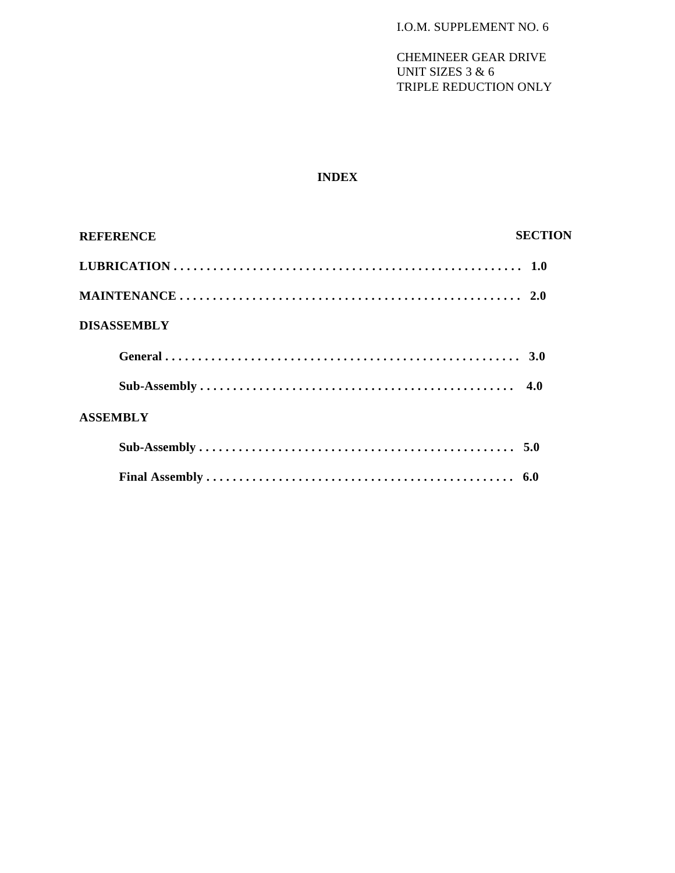# **INDEX**

| <b>REFERENCE</b>   | <b>SECTION</b> |
|--------------------|----------------|
|                    |                |
|                    |                |
| <b>DISASSEMBLY</b> |                |
|                    |                |
|                    |                |
| <b>ASSEMBLY</b>    |                |
|                    |                |
|                    |                |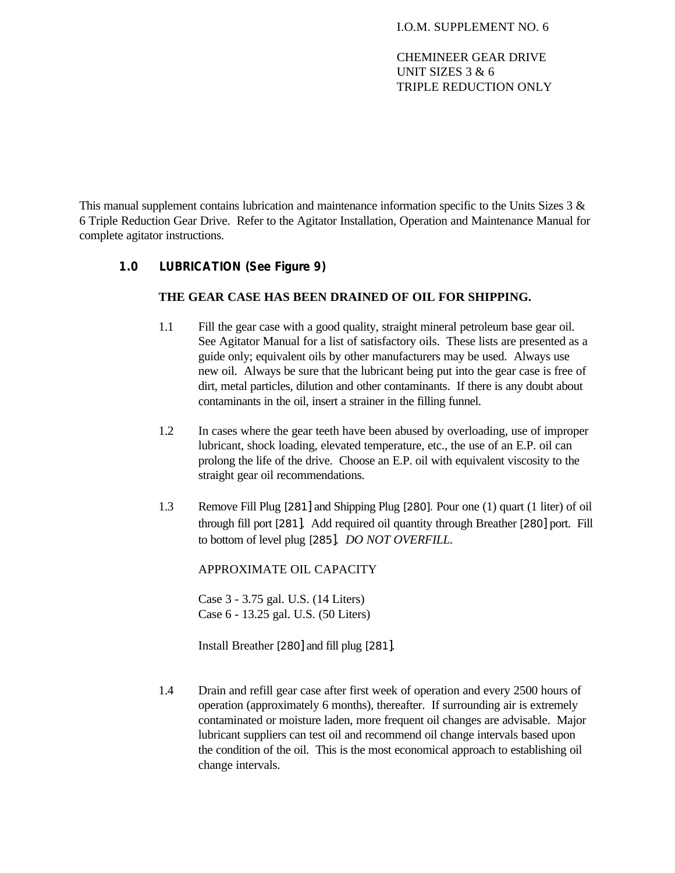This manual supplement contains lubrication and maintenance information specific to the Units Sizes 3 & 6 Triple Reduction Gear Drive. Refer to the Agitator Installation, Operation and Maintenance Manual for complete agitator instructions.

# **1.0 LUBRICATION (See Figure 9)**

### **THE GEAR CASE HAS BEEN DRAINED OF OIL FOR SHIPPING.**

- 1.1 Fill the gear case with a good quality, straight mineral petroleum base gear oil. See Agitator Manual for a list of satisfactory oils. These lists are presented as a guide only; equivalent oils by other manufacturers may be used. Always use new oil. Always be sure that the lubricant being put into the gear case is free of dirt, metal particles, dilution and other contaminants. If there is any doubt about contaminants in the oil, insert a strainer in the filling funnel.
- 1.2 In cases where the gear teeth have been abused by overloading, use of improper lubricant, shock loading, elevated temperature, etc., the use of an E.P. oil can prolong the life of the drive. Choose an E.P. oil with equivalent viscosity to the straight gear oil recommendations.
- 1.3 Remove Fill Plug [281] and Shipping Plug [280]. Pour one (1) quart (1 liter) of oil through fill port [281]. Add required oil quantity through Breather [280] port. Fill to bottom of level plug [285]. *DO NOT OVERFILL.*

APPROXIMATE OIL CAPACITY

Case 3 - 3.75 gal. U.S. (14 Liters) Case 6 - 13.25 gal. U.S. (50 Liters)

Install Breather [280] and fill plug [281].

1.4 Drain and refill gear case after first week of operation and every 2500 hours of operation (approximately 6 months), thereafter. If surrounding air is extremely contaminated or moisture laden, more frequent oil changes are advisable. Major lubricant suppliers can test oil and recommend oil change intervals based upon the condition of the oil. This is the most economical approach to establishing oil change intervals.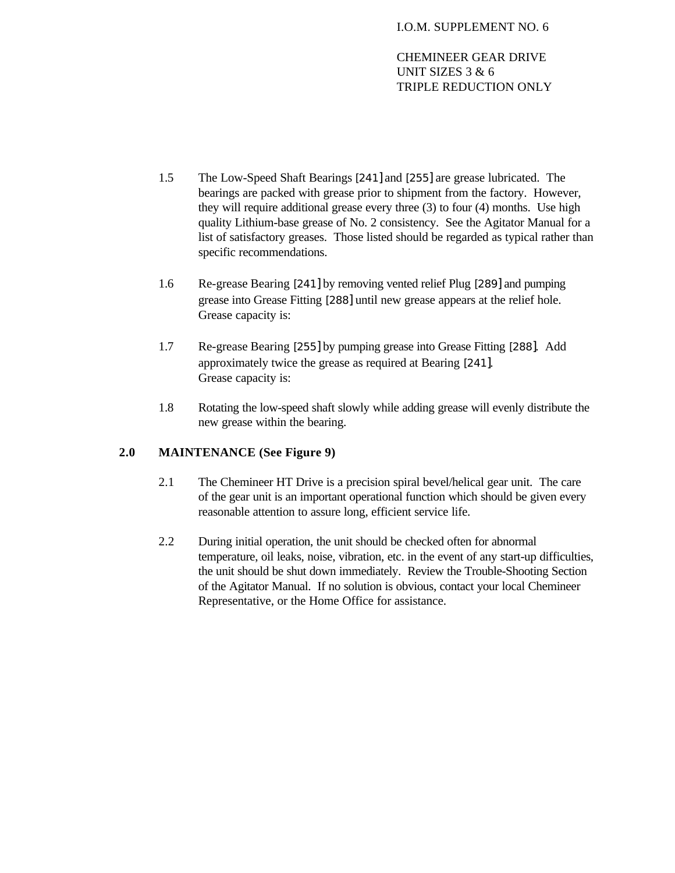- 1.5 The Low-Speed Shaft Bearings [241] and [255] are grease lubricated. The bearings are packed with grease prior to shipment from the factory. However, they will require additional grease every three (3) to four (4) months. Use high quality Lithium-base grease of No. 2 consistency. See the Agitator Manual for a list of satisfactory greases. Those listed should be regarded as typical rather than specific recommendations.
- 1.6 Re-grease Bearing [241] by removing vented relief Plug [289] and pumping grease into Grease Fitting [288] until new grease appears at the relief hole. Grease capacity is:
- 1.7 Re-grease Bearing [255] by pumping grease into Grease Fitting [288]. Add approximately twice the grease as required at Bearing [241]. Grease capacity is:
- 1.8 Rotating the low-speed shaft slowly while adding grease will evenly distribute the new grease within the bearing.

# **2.0 MAINTENANCE (See Figure 9)**

- 2.1 The Chemineer HT Drive is a precision spiral bevel/helical gear unit. The care of the gear unit is an important operational function which should be given every reasonable attention to assure long, efficient service life.
- 2.2 During initial operation, the unit should be checked often for abnormal temperature, oil leaks, noise, vibration, etc. in the event of any start-up difficulties, the unit should be shut down immediately. Review the Trouble-Shooting Section of the Agitator Manual. If no solution is obvious, contact your local Chemineer Representative, or the Home Office for assistance.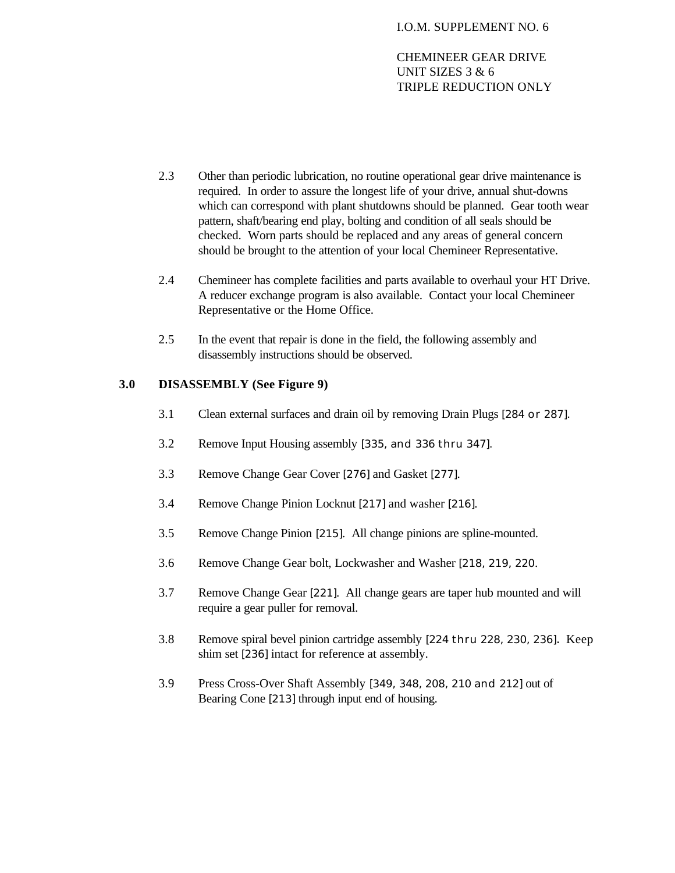- 2.3 Other than periodic lubrication, no routine operational gear drive maintenance is required. In order to assure the longest life of your drive, annual shut-downs which can correspond with plant shutdowns should be planned. Gear tooth wear pattern, shaft/bearing end play, bolting and condition of all seals should be checked. Worn parts should be replaced and any areas of general concern should be brought to the attention of your local Chemineer Representative.
- 2.4 Chemineer has complete facilities and parts available to overhaul your HT Drive. A reducer exchange program is also available. Contact your local Chemineer Representative or the Home Office.
- 2.5 In the event that repair is done in the field, the following assembly and disassembly instructions should be observed.

# **3.0 DISASSEMBLY (See Figure 9)**

- 3.1 Clean external surfaces and drain oil by removing Drain Plugs [284 or 287].
- 3.2 Remove Input Housing assembly [335, and 336 thru 347].
- 3.3 Remove Change Gear Cover [276] and Gasket [277].
- 3.4 Remove Change Pinion Locknut [217] and washer [216].
- 3.5 Remove Change Pinion [215]. All change pinions are spline-mounted.
- 3.6 Remove Change Gear bolt, Lockwasher and Washer [218, 219, 220.
- 3.7 Remove Change Gear [221]. All change gears are taper hub mounted and will require a gear puller for removal.
- 3.8 Remove spiral bevel pinion cartridge assembly [224 thru 228, 230, 236]. Keep shim set [236] intact for reference at assembly.
- 3.9 Press Cross-Over Shaft Assembly [349, 348, 208, 210 and 212] out of Bearing Cone [213] through input end of housing.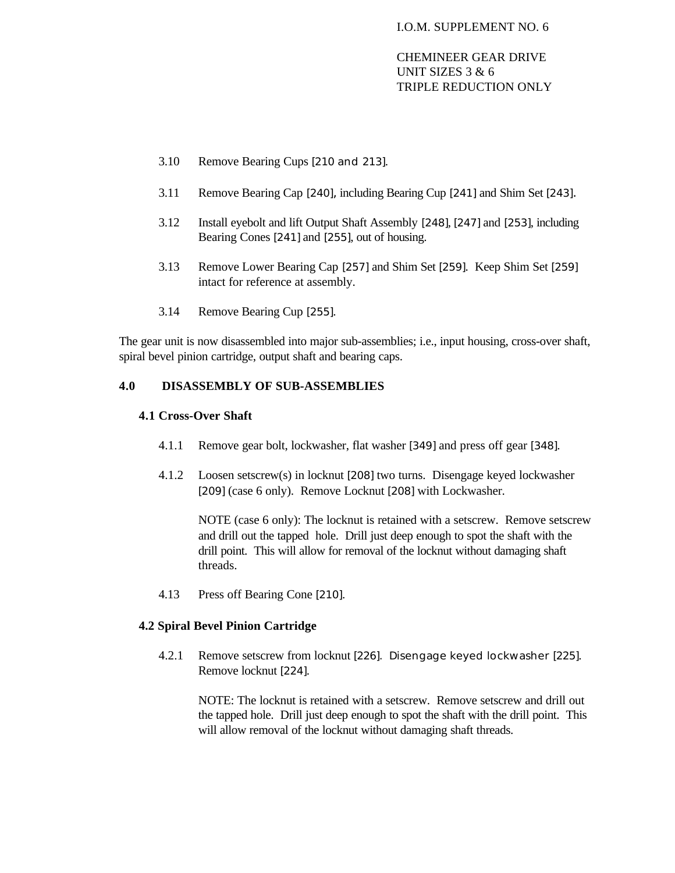- 3.10 Remove Bearing Cups [210 and 213].
- 3.11 Remove Bearing Cap [240], including Bearing Cup [241] and Shim Set [243].
- 3.12 Install eyebolt and lift Output Shaft Assembly [248], [247] and [253], including Bearing Cones [241] and [255], out of housing.
- 3.13 Remove Lower Bearing Cap [257] and Shim Set [259]. Keep Shim Set [259] intact for reference at assembly.
- 3.14 Remove Bearing Cup [255].

The gear unit is now disassembled into major sub-assemblies; i.e., input housing, cross-over shaft, spiral bevel pinion cartridge, output shaft and bearing caps.

## **4.0 DISASSEMBLY OF SUB-ASSEMBLIES**

#### **4.1 Cross-Over Shaft**

- 4.1.1 Remove gear bolt, lockwasher, flat washer [349] and press off gear [348].
- 4.1.2 Loosen setscrew(s) in locknut [208] two turns. Disengage keyed lockwasher [209] (case 6 only). Remove Locknut [208] with Lockwasher.

NOTE (case 6 only): The locknut is retained with a setscrew. Remove setscrew and drill out the tapped hole. Drill just deep enough to spot the shaft with the drill point. This will allow for removal of the locknut without damaging shaft threads.

4.13 Press off Bearing Cone [210].

### **4.2 Spiral Bevel Pinion Cartridge**

4.2.1 Remove setscrew from locknut [226]. Disengage keyed lockwasher [225]. Remove locknut [224].

NOTE: The locknut is retained with a setscrew. Remove setscrew and drill out the tapped hole. Drill just deep enough to spot the shaft with the drill point. This will allow removal of the locknut without damaging shaft threads.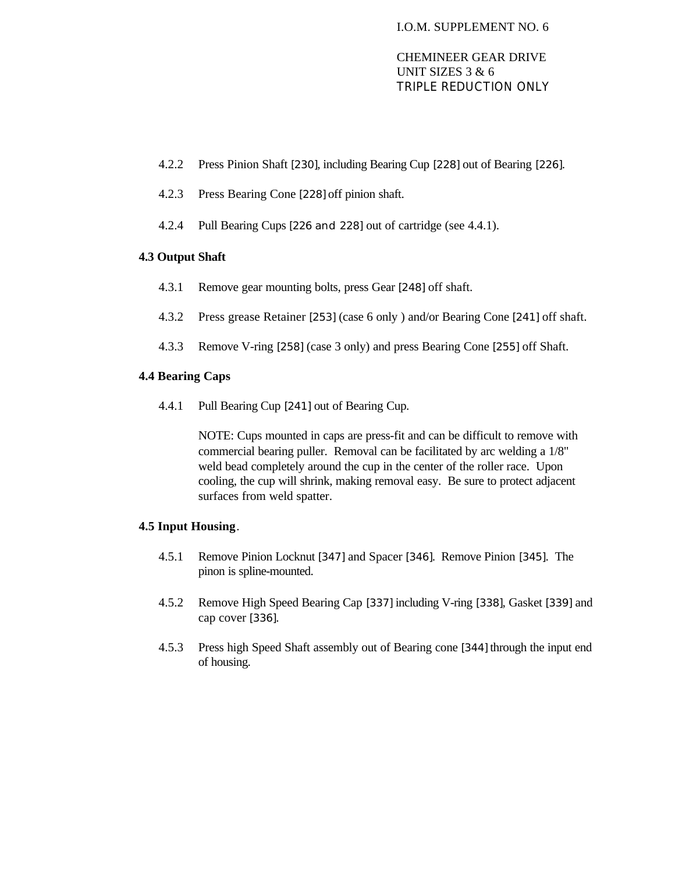- 4.2.2 Press Pinion Shaft [230], including Bearing Cup [228] out of Bearing [226].
- 4.2.3 Press Bearing Cone [228] off pinion shaft.
- 4.2.4 Pull Bearing Cups [226 and 228] out of cartridge (see 4.4.1).

# **4.3 Output Shaft**

- 4.3.1 Remove gear mounting bolts, press Gear [248] off shaft.
- 4.3.2 Press grease Retainer [253] (case 6 only ) and/or Bearing Cone [241] off shaft.
- 4.3.3 Remove V-ring [258] (case 3 only) and press Bearing Cone [255] off Shaft.

# **4.4 Bearing Caps**

4.4.1 Pull Bearing Cup [241] out of Bearing Cup.

NOTE: Cups mounted in caps are press-fit and can be difficult to remove with commercial bearing puller. Removal can be facilitated by arc welding a 1/8" weld bead completely around the cup in the center of the roller race. Upon cooling, the cup will shrink, making removal easy. Be sure to protect adjacent surfaces from weld spatter.

# **4.5 Input Housing**.

- 4.5.1 Remove Pinion Locknut [347] and Spacer [346]. Remove Pinion [345]. The pinon is spline-mounted.
- 4.5.2 Remove High Speed Bearing Cap [337] including V-ring [338], Gasket [339] and cap cover [336].
- 4.5.3 Press high Speed Shaft assembly out of Bearing cone [344] through the input end of housing.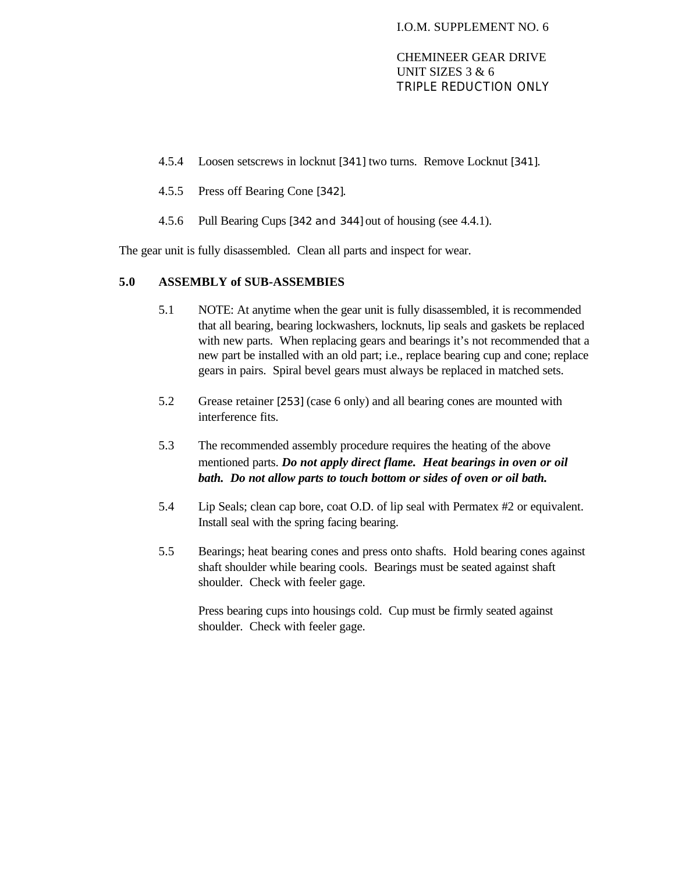- 4.5.4 Loosen setscrews in locknut [341] two turns. Remove Locknut [341].
- 4.5.5 Press off Bearing Cone [342].
- 4.5.6 Pull Bearing Cups [342 and 344] out of housing (see 4.4.1).

The gear unit is fully disassembled. Clean all parts and inspect for wear.

## **5.0 ASSEMBLY of SUB-ASSEMBIES**

- 5.1 NOTE: At anytime when the gear unit is fully disassembled, it is recommended that all bearing, bearing lockwashers, locknuts, lip seals and gaskets be replaced with new parts. When replacing gears and bearings it's not recommended that a new part be installed with an old part; i.e., replace bearing cup and cone; replace gears in pairs. Spiral bevel gears must always be replaced in matched sets.
- 5.2 Grease retainer [253] (case 6 only) and all bearing cones are mounted with interference fits.
- 5.3 The recommended assembly procedure requires the heating of the above mentioned parts. *Do not apply direct flame. Heat bearings in oven or oil bath. Do not allow parts to touch bottom or sides of oven or oil bath.*
- 5.4 Lip Seals; clean cap bore, coat O.D. of lip seal with Permatex #2 or equivalent. Install seal with the spring facing bearing.
- 5.5 Bearings; heat bearing cones and press onto shafts. Hold bearing cones against shaft shoulder while bearing cools. Bearings must be seated against shaft shoulder. Check with feeler gage.

Press bearing cups into housings cold. Cup must be firmly seated against shoulder. Check with feeler gage.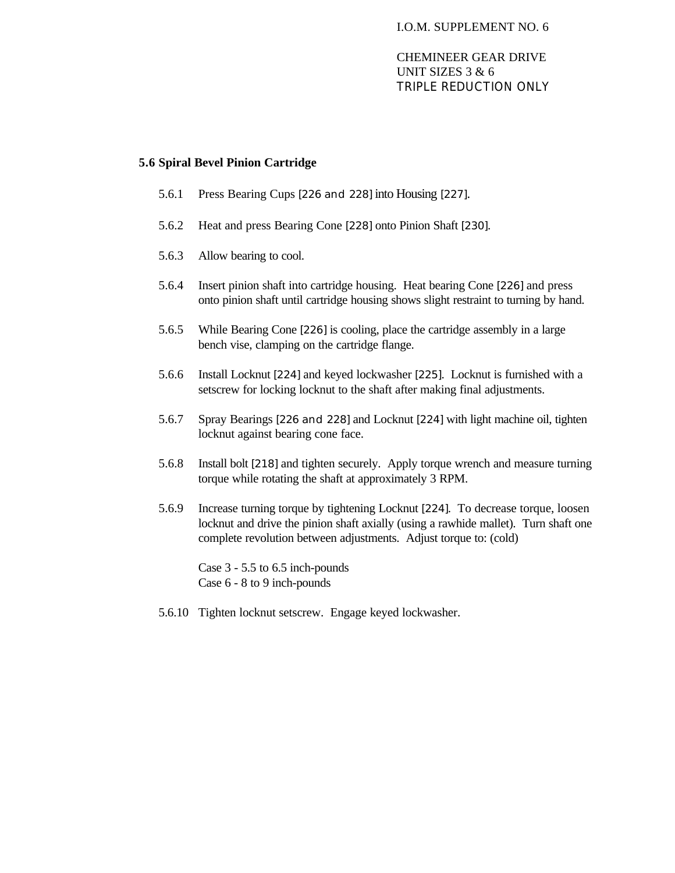## **5.6 Spiral Bevel Pinion Cartridge**

- 5.6.1 Press Bearing Cups [226 and 228] into Housing [227].
- 5.6.2 Heat and press Bearing Cone [228] onto Pinion Shaft [230].
- 5.6.3 Allow bearing to cool.
- 5.6.4 Insert pinion shaft into cartridge housing. Heat bearing Cone [226] and press onto pinion shaft until cartridge housing shows slight restraint to turning by hand.
- 5.6.5 While Bearing Cone [226] is cooling, place the cartridge assembly in a large bench vise, clamping on the cartridge flange.
- 5.6.6 Install Locknut [224] and keyed lockwasher [225]. Locknut is furnished with a setscrew for locking locknut to the shaft after making final adjustments.
- 5.6.7 Spray Bearings [226 and 228] and Locknut [224] with light machine oil, tighten locknut against bearing cone face.
- 5.6.8 Install bolt [218] and tighten securely. Apply torque wrench and measure turning torque while rotating the shaft at approximately 3 RPM.
- 5.6.9 Increase turning torque by tightening Locknut [224]. To decrease torque, loosen locknut and drive the pinion shaft axially (using a rawhide mallet). Turn shaft one complete revolution between adjustments. Adjust torque to: (cold)

Case 3 - 5.5 to 6.5 inch-pounds Case 6 - 8 to 9 inch-pounds

5.6.10 Tighten locknut setscrew. Engage keyed lockwasher.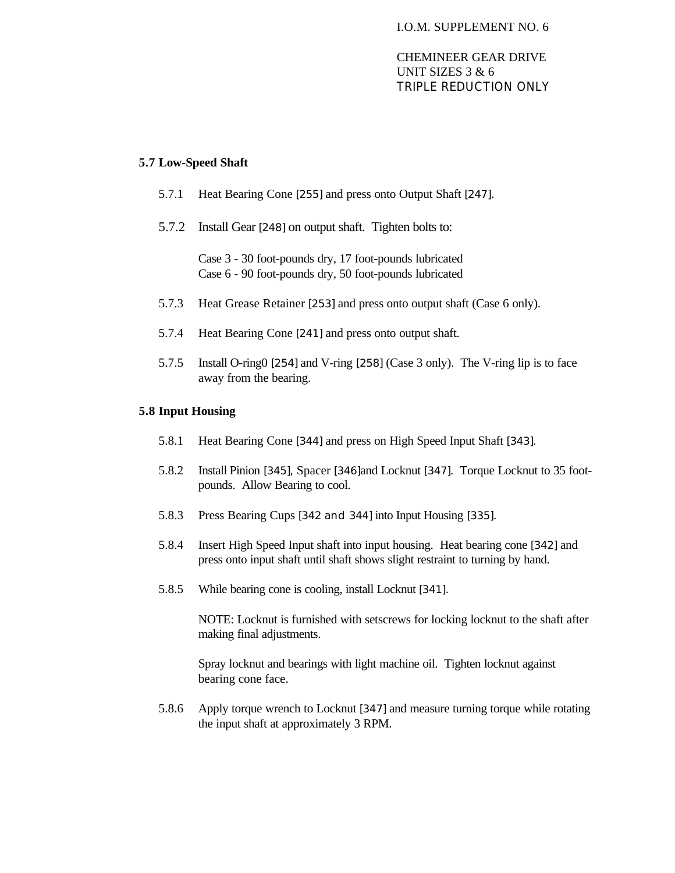### **5.7 Low-Speed Shaft**

- 5.7.1 Heat Bearing Cone [255] and press onto Output Shaft [247].
- 5.7.2 Install Gear [248] on output shaft. Tighten bolts to:

Case 3 - 30 foot-pounds dry, 17 foot-pounds lubricated Case 6 - 90 foot-pounds dry, 50 foot-pounds lubricated

- 5.7.3 Heat Grease Retainer [253] and press onto output shaft (Case 6 only).
- 5.7.4 Heat Bearing Cone [241] and press onto output shaft.
- 5.7.5 Install O-ring0 [254] and V-ring [258] (Case 3 only). The V-ring lip is to face away from the bearing.

#### **5.8 Input Housing**

- 5.8.1 Heat Bearing Cone [344] and press on High Speed Input Shaft [343].
- 5.8.2 Install Pinion [345], Spacer [346]and Locknut [347]. Torque Locknut to 35 footpounds. Allow Bearing to cool.
- 5.8.3 Press Bearing Cups [342 and 344] into Input Housing [335].
- 5.8.4 Insert High Speed Input shaft into input housing. Heat bearing cone [342] and press onto input shaft until shaft shows slight restraint to turning by hand.
- 5.8.5 While bearing cone is cooling, install Locknut [341].

NOTE: Locknut is furnished with setscrews for locking locknut to the shaft after making final adjustments.

Spray locknut and bearings with light machine oil. Tighten locknut against bearing cone face.

5.8.6 Apply torque wrench to Locknut [347] and measure turning torque while rotating the input shaft at approximately 3 RPM.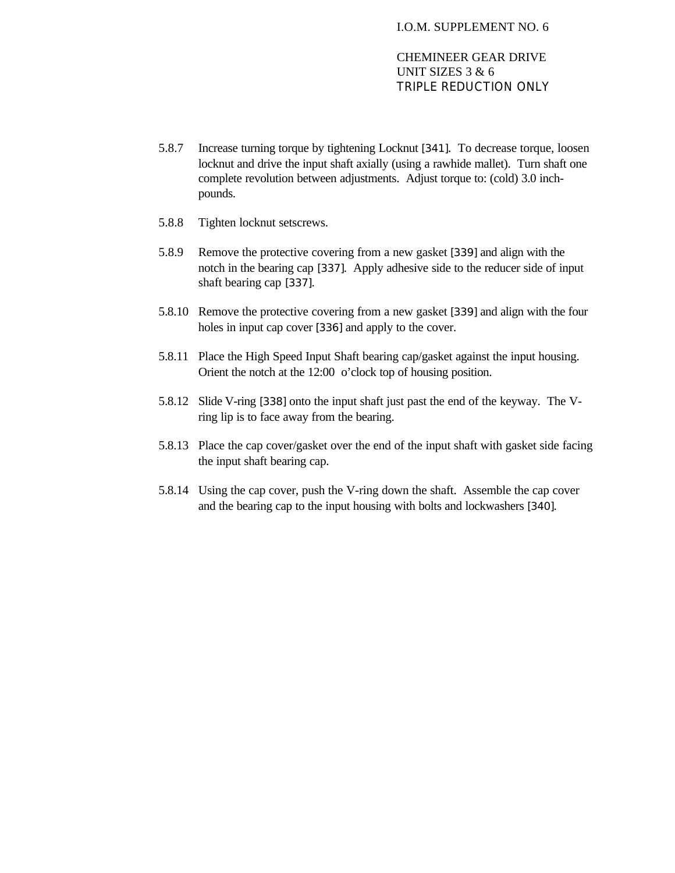- 5.8.7 Increase turning torque by tightening Locknut [341]. To decrease torque, loosen locknut and drive the input shaft axially (using a rawhide mallet). Turn shaft one complete revolution between adjustments. Adjust torque to: (cold) 3.0 inchpounds.
- 5.8.8 Tighten locknut setscrews.
- 5.8.9 Remove the protective covering from a new gasket [339] and align with the notch in the bearing cap [337]. Apply adhesive side to the reducer side of input shaft bearing cap [337].
- 5.8.10 Remove the protective covering from a new gasket [339] and align with the four holes in input cap cover [336] and apply to the cover.
- 5.8.11 Place the High Speed Input Shaft bearing cap/gasket against the input housing. Orient the notch at the 12:00 o'clock top of housing position.
- 5.8.12 Slide V-ring [338] onto the input shaft just past the end of the keyway. The Vring lip is to face away from the bearing.
- 5.8.13 Place the cap cover/gasket over the end of the input shaft with gasket side facing the input shaft bearing cap.
- 5.8.14 Using the cap cover, push the V-ring down the shaft. Assemble the cap cover and the bearing cap to the input housing with bolts and lockwashers [340].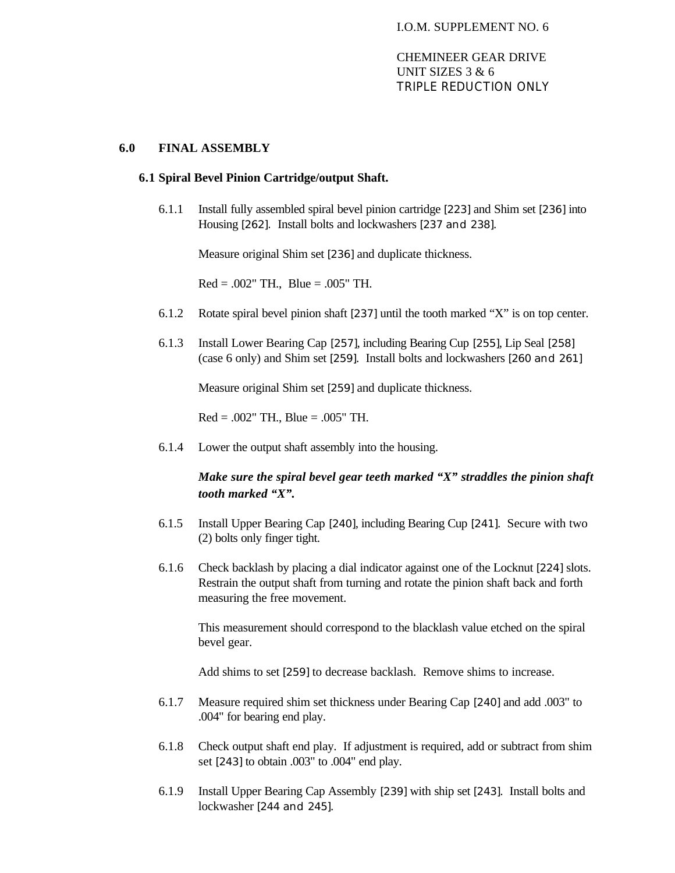#### **6.0 FINAL ASSEMBLY**

#### **6.1 Spiral Bevel Pinion Cartridge/output Shaft.**

6.1.1 Install fully assembled spiral bevel pinion cartridge [223] and Shim set [236] into Housing [262]. Install bolts and lockwashers [237 and 238].

Measure original Shim set [236] and duplicate thickness.

 $Red = .002"$  TH.,  $Blue = .005"$  TH.

- 6.1.2 Rotate spiral bevel pinion shaft [237] until the tooth marked "X" is on top center.
- 6.1.3 Install Lower Bearing Cap [257], including Bearing Cup [255], Lip Seal [258] (case 6 only) and Shim set [259]. Install bolts and lockwashers [260 and 261]

Measure original Shim set [259] and duplicate thickness.

 $Red = .002"$  TH., Blue =  $.005"$  TH.

6.1.4 Lower the output shaft assembly into the housing.

# *Make sure the spiral bevel gear teeth marked "X" straddles the pinion shaft tooth marked "X".*

- 6.1.5 Install Upper Bearing Cap [240], including Bearing Cup [241]. Secure with two (2) bolts only finger tight.
- 6.1.6 Check backlash by placing a dial indicator against one of the Locknut [224] slots. Restrain the output shaft from turning and rotate the pinion shaft back and forth measuring the free movement.

This measurement should correspond to the blacklash value etched on the spiral bevel gear.

Add shims to set [259] to decrease backlash. Remove shims to increase.

- 6.1.7 Measure required shim set thickness under Bearing Cap [240] and add .003" to .004" for bearing end play.
- 6.1.8 Check output shaft end play. If adjustment is required, add or subtract from shim set [243] to obtain .003" to .004" end play.
- 6.1.9 Install Upper Bearing Cap Assembly [239] with ship set [243]. Install bolts and lockwasher [244 and 245].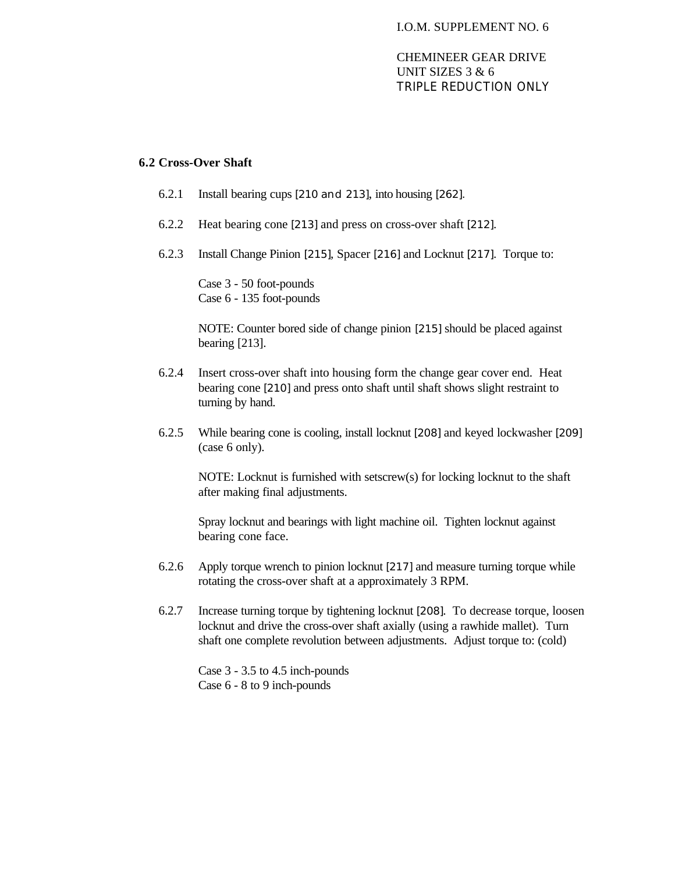#### I.O.M. SUPPLEMENT NO. 6

# CHEMINEER GEAR DRIVE UNIT SIZES 3 & 6 TRIPLE REDUCTION ONLY

#### **6.2 Cross-Over Shaft**

- 6.2.1 Install bearing cups [210 and 213], into housing [262].
- 6.2.2 Heat bearing cone [213] and press on cross-over shaft [212].
- 6.2.3 Install Change Pinion [215], Spacer [216] and Locknut [217]. Torque to:

Case 3 - 50 foot-pounds Case 6 - 135 foot-pounds

NOTE: Counter bored side of change pinion [215] should be placed against bearing [213].

- 6.2.4 Insert cross-over shaft into housing form the change gear cover end. Heat bearing cone [210] and press onto shaft until shaft shows slight restraint to turning by hand.
- 6.2.5 While bearing cone is cooling, install locknut [208] and keyed lockwasher [209] (case 6 only).

NOTE: Locknut is furnished with setscrew(s) for locking locknut to the shaft after making final adjustments.

Spray locknut and bearings with light machine oil. Tighten locknut against bearing cone face.

- 6.2.6 Apply torque wrench to pinion locknut [217] and measure turning torque while rotating the cross-over shaft at a approximately 3 RPM.
- 6.2.7 Increase turning torque by tightening locknut [208]. To decrease torque, loosen locknut and drive the cross-over shaft axially (using a rawhide mallet). Turn shaft one complete revolution between adjustments. Adjust torque to: (cold)

Case 3 - 3.5 to 4.5 inch-pounds Case 6 - 8 to 9 inch-pounds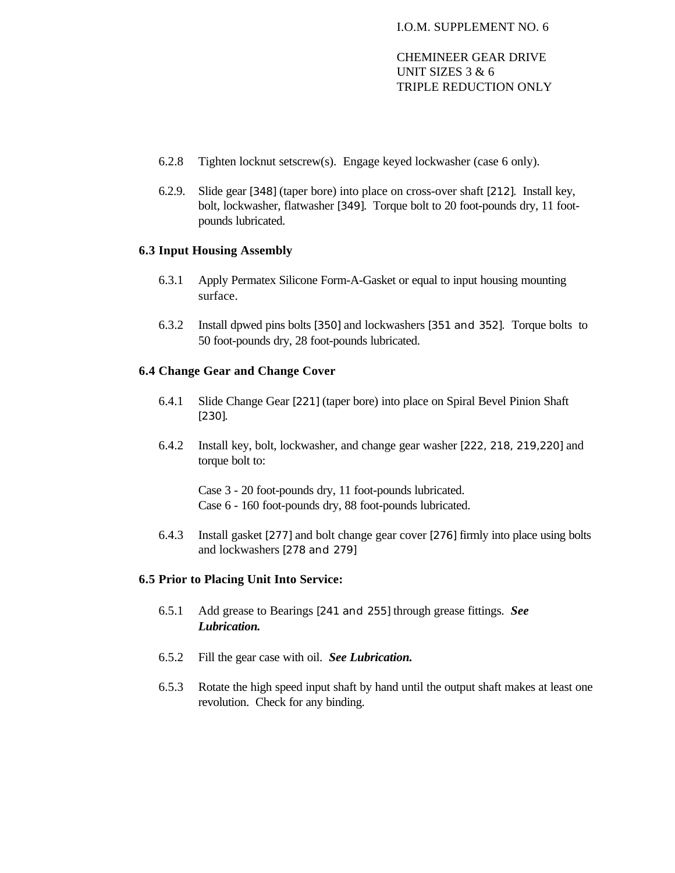- 6.2.8 Tighten locknut setscrew(s). Engage keyed lockwasher (case 6 only).
- 6.2.9. Slide gear [348] (taper bore) into place on cross-over shaft [212]. Install key, bolt, lockwasher, flatwasher [349]. Torque bolt to 20 foot-pounds dry, 11 footpounds lubricated.

#### **6.3 Input Housing Assembly**

- 6.3.1 Apply Permatex Silicone Form-A-Gasket or equal to input housing mounting surface.
- 6.3.2 Install dpwed pins bolts [350] and lockwashers [351 and 352]. Torque bolts to 50 foot-pounds dry, 28 foot-pounds lubricated.

# **6.4 Change Gear and Change Cover**

- 6.4.1 Slide Change Gear [221] (taper bore) into place on Spiral Bevel Pinion Shaft [230].
- 6.4.2 Install key, bolt, lockwasher, and change gear washer [222, 218, 219,220] and torque bolt to:

Case 3 - 20 foot-pounds dry, 11 foot-pounds lubricated. Case 6 - 160 foot-pounds dry, 88 foot-pounds lubricated.

6.4.3 Install gasket [277] and bolt change gear cover [276] firmly into place using bolts and lockwashers [278 and 279]

#### **6.5 Prior to Placing Unit Into Service:**

- 6.5.1 Add grease to Bearings [241 and 255] through grease fittings. *See Lubrication.*
- 6.5.2 Fill the gear case with oil. *See Lubrication.*
- 6.5.3 Rotate the high speed input shaft by hand until the output shaft makes at least one revolution. Check for any binding.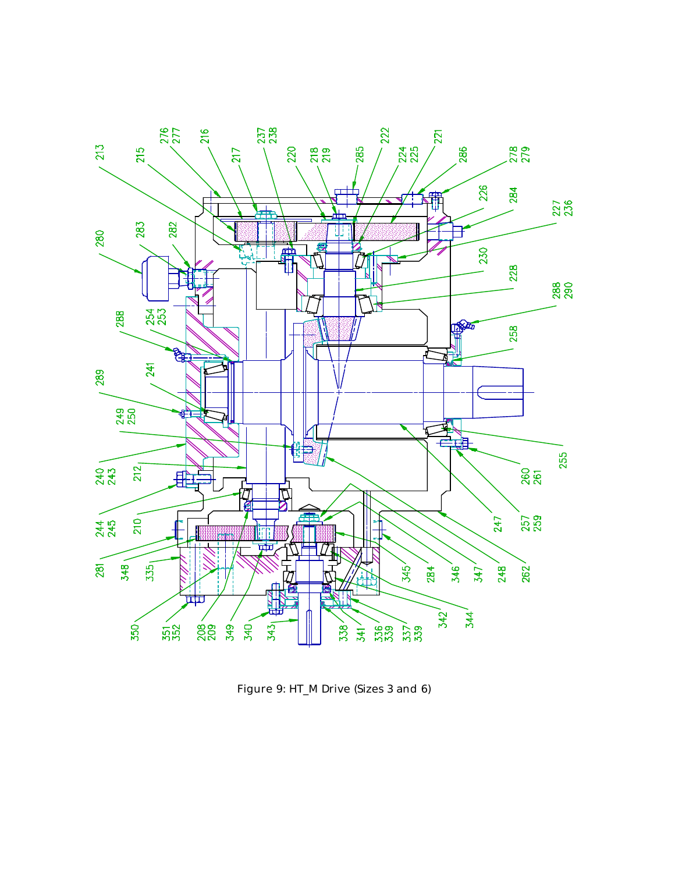

Figure 9: HT\_M Drive (Sizes 3 and 6)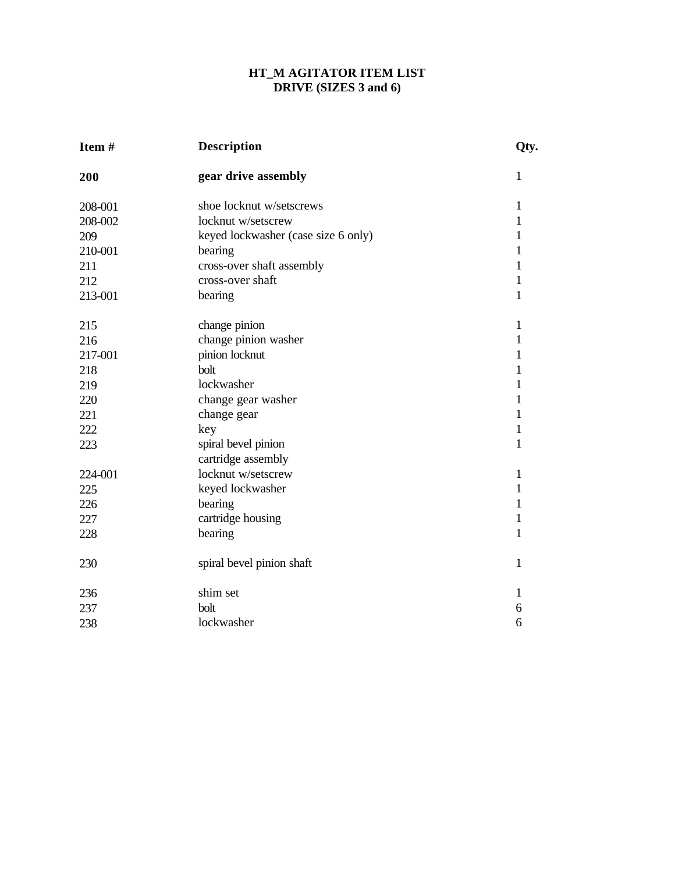# **HT\_M AGITATOR ITEM LIST DRIVE (SIZES 3 and 6)**

| Item#   | <b>Description</b>                  | Qty.         |
|---------|-------------------------------------|--------------|
| 200     | gear drive assembly                 | $\mathbf{1}$ |
| 208-001 | shoe locknut w/setscrews            | $\mathbf{1}$ |
| 208-002 | locknut w/setscrew                  | 1            |
| 209     | keyed lockwasher (case size 6 only) | $\mathbf{1}$ |
| 210-001 | bearing                             | $\mathbf{1}$ |
| 211     | cross-over shaft assembly           | $\mathbf{1}$ |
| 212     | cross-over shaft                    | $\mathbf{1}$ |
| 213-001 | bearing                             | $\mathbf{1}$ |
| 215     | change pinion                       | 1            |
| 216     | change pinion washer                | $\mathbf{1}$ |
| 217-001 | pinion locknut                      | $\mathbf{1}$ |
| 218     | bolt                                | 1            |
| 219     | lockwasher                          | 1            |
| 220     | change gear washer                  | $\mathbf{1}$ |
| 221     | change gear                         | $\mathbf{1}$ |
| 222     | key                                 | $\mathbf{1}$ |
| 223     | spiral bevel pinion                 | $\mathbf{1}$ |
|         | cartridge assembly                  |              |
| 224-001 | locknut w/setscrew                  | $\mathbf{1}$ |
| 225     | keyed lockwasher                    | 1            |
| 226     | bearing                             | $\mathbf{1}$ |
| 227     | cartridge housing                   | $\mathbf{1}$ |
| 228     | bearing                             | $\mathbf{1}$ |
| 230     | spiral bevel pinion shaft           | $\mathbf{1}$ |
| 236     | shim set                            | $\mathbf{1}$ |
| 237     | bolt                                | 6            |
| 238     | lockwasher                          | 6            |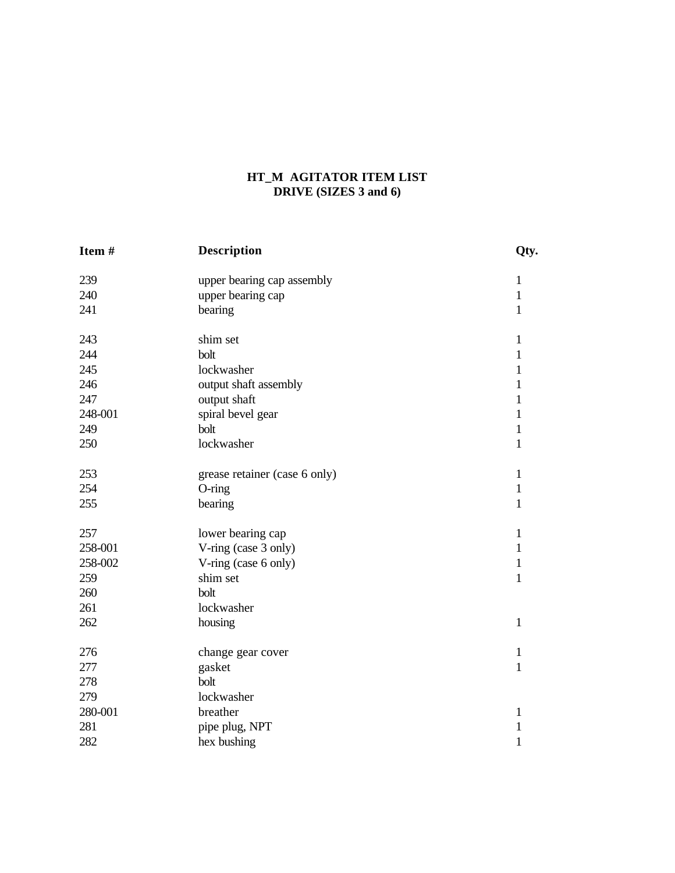# **HT\_M AGITATOR ITEM LIST DRIVE (SIZES 3 and 6)**

| Item#   | <b>Description</b>            | Qty.         |
|---------|-------------------------------|--------------|
| 239     | upper bearing cap assembly    | $\mathbf{1}$ |
| 240     | upper bearing cap             | $\mathbf{1}$ |
| 241     | bearing                       | $\mathbf{1}$ |
| 243     | shim set                      | $\mathbf{1}$ |
| 244     | bolt                          | $\mathbf{1}$ |
| 245     | lockwasher                    | $\mathbf{1}$ |
| 246     | output shaft assembly         | 1            |
| 247     | output shaft                  | $\mathbf{1}$ |
| 248-001 | spiral bevel gear             | $\mathbf{1}$ |
| 249     | bolt                          | $\mathbf{1}$ |
| 250     | lockwasher                    | $\mathbf{1}$ |
| 253     | grease retainer (case 6 only) | $\mathbf{1}$ |
| 254     | $O$ -ring                     | $\mathbf{1}$ |
| 255     | bearing                       | $\mathbf{1}$ |
| 257     | lower bearing cap             | $\mathbf{1}$ |
| 258-001 | V-ring (case 3 only)          | $\mathbf{1}$ |
| 258-002 | V-ring (case 6 only)          | $\mathbf{1}$ |
| 259     | shim set                      | $\mathbf{1}$ |
| 260     | bolt                          |              |
| 261     | lockwasher                    |              |
| 262     | housing                       | $\mathbf{1}$ |
| 276     | change gear cover             | $\mathbf{1}$ |
| 277     | gasket                        | $\mathbf{1}$ |
| 278     | bolt                          |              |
| 279     | lockwasher                    |              |
| 280-001 | breather                      | $\mathbf{1}$ |
| 281     | pipe plug, NPT                | $\mathbf{1}$ |
| 282     | hex bushing                   | $\mathbf{1}$ |